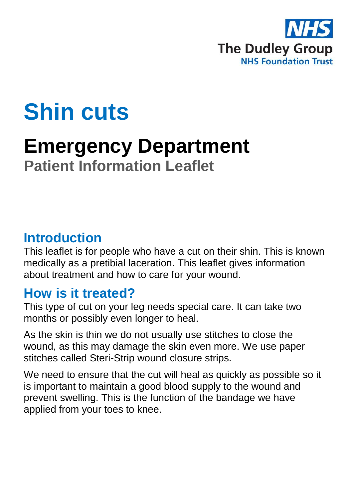

# **Shin cuts**

## **Emergency Department Patient Information Leaflet**

#### **Introduction**

This leaflet is for people who have a cut on their shin. This is known medically as a pretibial laceration. This leaflet gives information about treatment and how to care for your wound.

#### **How is it treated?**

This type of cut on your leg needs special care. It can take two months or possibly even longer to heal.

As the skin is thin we do not usually use stitches to close the wound, as this may damage the skin even more. We use paper stitches called Steri-Strip wound closure strips.

We need to ensure that the cut will heal as quickly as possible so it is important to maintain a good blood supply to the wound and prevent swelling. This is the function of the bandage we have applied from your toes to knee.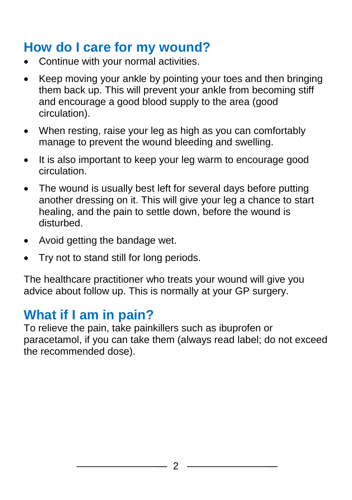### **How do I care for my wound?**

- Continue with your normal activities.
- Keep moving your ankle by pointing your toes and then bringing them back up. This will prevent your ankle from becoming stiff and encourage a good blood supply to the area (good circulation).
- When resting, raise your leg as high as you can comfortably manage to prevent the wound bleeding and swelling.
- It is also important to keep your leg warm to encourage good circulation.
- The wound is usually best left for several days before putting another dressing on it. This will give your leg a chance to start healing, and the pain to settle down, before the wound is disturbed.
- Avoid getting the bandage wet.
- Try not to stand still for long periods.

The healthcare practitioner who treats your wound will give you advice about follow up. This is normally at your GP surgery.

### **What if I am in pain?**

To relieve the pain, take painkillers such as ibuprofen or paracetamol, if you can take them (always read label; do not exceed the recommended dose).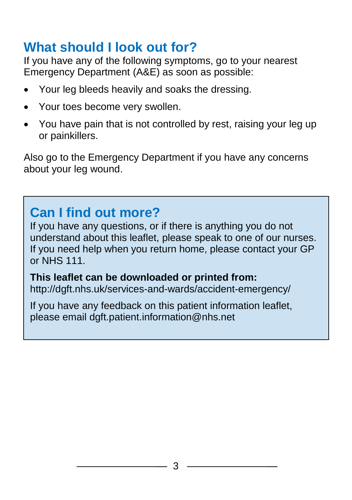### **What should I look out for?**

If you have any of the following symptoms, go to your nearest Emergency Department (A&E) as soon as possible:

- Your leg bleeds heavily and soaks the dressing.
- Your toes become very swollen.
- You have pain that is not controlled by rest, raising your leg up or painkillers.

Also go to the Emergency Department if you have any concerns about your leg wound.

## **Can I find out more?**

If you have any questions, or if there is anything you do not understand about this leaflet, please speak to one of our nurses. If you need help when you return home, please contact your GP or NHS 111.

**This leaflet can be downloaded or printed from:** http://dgft.nhs.uk/services-and-wards/accident-emergency/

If you have any feedback on this patient information leaflet, please email dgft.patient.information@nhs.net